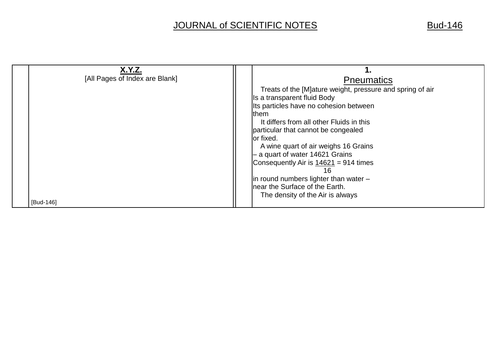## JOURNAL of SCIENTIFIC NOTES Bud-146

| <b>X.Y.Z.</b><br>[All Pages of Index are Blank] | <b>Pneumatics</b><br>Treats of the [M]ature weight, pressure and spring of air<br>Is a transparent fluid Body<br>Its particles have no cohesion between<br>them<br>It differs from all other Fluids in this                                                       |
|-------------------------------------------------|-------------------------------------------------------------------------------------------------------------------------------------------------------------------------------------------------------------------------------------------------------------------|
| [Bud-146]                                       | lor fixed.<br>A wine quart of air weighs 16 Grains<br>$-$ a quart of water 14621 Grains<br>Consequently Air is $14621 = 914$ times<br>16<br>$\vert$ in round numbers lighter than water $-$<br>near the Surface of the Earth.<br>The density of the Air is always |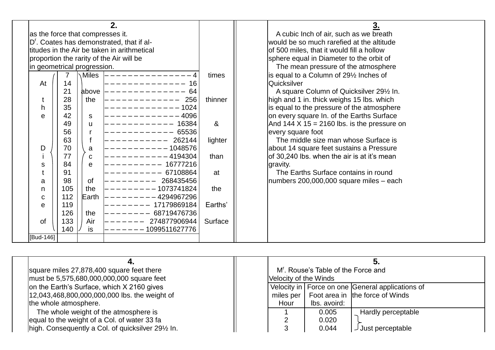|                                  |     |               | 2.                                                    |          | 3.                                                  |
|----------------------------------|-----|---------------|-------------------------------------------------------|----------|-----------------------------------------------------|
| as the force that compresses it. |     |               |                                                       |          | A cubic Inch of air, such as we breath              |
|                                  |     |               | D <sup>r</sup> . Coates has demonstrated, that if al- |          | would be so much rarefied at the altitude           |
|                                  |     |               | titudes in the Air be taken in arithmetical           |          | of 500 miles, that it would fill a hollow           |
|                                  |     |               | proportion the rarity of the Air will be              |          | sphere equal in Diameter to the orbit of            |
| in geometrical progression.      |     |               |                                                       |          | The mean pressure of the atmosphere                 |
|                                  |     | Miles         |                                                       | times    | is equal to a Column of 29 <sup>1/2</sup> Inches of |
| At                               | 14  |               | 16                                                    |          | Quicksilver                                         |
|                                  | 21  | above         | 64                                                    |          | A square Column of Quicksilver 291/2 In.            |
|                                  | 28  | the           | 256                                                   | thinner  | high and 1 in. thick weighs 15 lbs. which           |
| h                                | 35  |               | 1024                                                  |          | is equal to the pressure of the atmosphere          |
| e                                | 42  | <sub>S</sub>  | 4096                                                  |          | on every square In. of the Earths Surface           |
|                                  | 49  | u             | 16384                                                 | $\alpha$ | And $144 \times 15 = 2160$ lbs. is the pressure on  |
|                                  | 56  |               | 65536                                                 |          | every square foot                                   |
|                                  | 63  |               | 262144                                                | lighter  | The middle size man whose Surface is                |
| D                                | 70  | a             | 1048576                                               |          | about 14 square feet sustains a Pressure            |
|                                  | 77  | C             | 4194304                                               | than     | of 30,240 lbs. when the air is at it's mean         |
| S                                | 84  | e             | 16777216                                              |          | gravity.                                            |
|                                  | 91  |               | 67108864                                              | at       | The Earths Surface contains in round                |
| a                                | 98  | <sub>of</sub> | 268435456                                             |          | $\mu$ numbers 200,000,000 square miles – each       |
| n                                | 105 | the           | 1073741824                                            | the      |                                                     |
| $\mathbf C$                      | 112 | Earth         | 4294967296                                            |          |                                                     |
| e                                | 119 |               | 17179869184                                           | Earths'  |                                                     |
|                                  | 126 | the           | 68719476736                                           |          |                                                     |
| 0f                               | 133 | Air           | 274877906944                                          | Surface  |                                                     |
|                                  | 140 | is            | 1099511627776                                         |          |                                                     |
| [Bud-146]                        |     |               |                                                       |          |                                                     |

| square miles 27,878,400 square feet there          |                       | M'. Rouse's Table of the Force and |                                                  |
|----------------------------------------------------|-----------------------|------------------------------------|--------------------------------------------------|
| must be 5,575,680,000,000,000 square feet          | Velocity of the Winds |                                    |                                                  |
| on the Earth's Surface, which X 2160 gives         |                       |                                    | Velocity in Force on one General applications of |
| 12,043,468,800,000,000,000 lbs. the weight of      | miles per             |                                    | Foot area in the force of Winds                  |
| the whole atmosphere.                              | Hour                  | Ibs. avoird:                       |                                                  |
| The whole weight of the atmosphere is              |                       | 0.005                              | <b>Hardly perceptable</b>                        |
| lequal to the weight of a Col. of water 33 fa      |                       | 0.020                              |                                                  |
| high. Consequently a Col. of quicksilver 291/2 In. |                       | 0.044                              | Just perceptable                                 |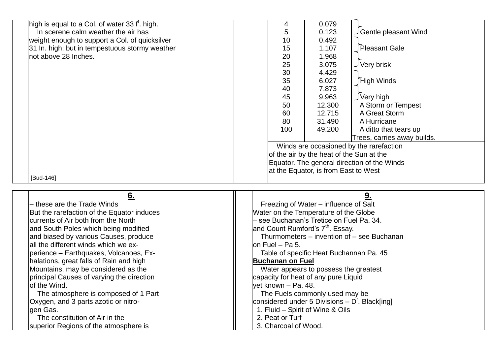| high is equal to a Col. of water 33 $ft$ . high.<br>In scerene calm weather the air has<br>weight enough to support a Col. of quicksilver<br>31 In. high; but in tempestuous stormy weather<br>not above 28 Inches.<br>[Bud-146] | 0.079<br>4<br>5<br>Gentle pleasant Wind<br>0.123<br>10<br>0.492<br>Pleasant Gale<br>15<br>1.107<br>20<br>1.968<br>J Very brisk<br>25<br>3.075<br>30<br>4.429<br>35<br>∫High Winds<br>6.027<br>7.873<br>40<br>∫Very high<br>9.963<br>45<br>12.300<br>A Storm or Tempest<br>50<br>60<br>12.715<br>A Great Storm<br>80<br>31.490<br>A Hurricane<br>100<br>49.200<br>A ditto that tears up<br>Trees, carries away builds.<br>Winds are occasioned by the rarefaction<br>of the air by the heat of the Sun at the<br>Equator. The general direction of the Winds<br>at the Equator, is from East to West |
|----------------------------------------------------------------------------------------------------------------------------------------------------------------------------------------------------------------------------------|-----------------------------------------------------------------------------------------------------------------------------------------------------------------------------------------------------------------------------------------------------------------------------------------------------------------------------------------------------------------------------------------------------------------------------------------------------------------------------------------------------------------------------------------------------------------------------------------------------|
| 6.                                                                                                                                                                                                                               | 9.                                                                                                                                                                                                                                                                                                                                                                                                                                                                                                                                                                                                  |
| - these are the Trade Winds                                                                                                                                                                                                      | Freezing of Water – influence of Salt                                                                                                                                                                                                                                                                                                                                                                                                                                                                                                                                                               |
| But the rarefaction of the Equator induces                                                                                                                                                                                       | Water on the Temperature of the Globe                                                                                                                                                                                                                                                                                                                                                                                                                                                                                                                                                               |
| currents of Air both from the North                                                                                                                                                                                              | see Buchanan's Tretice on Fuel Pa. 34.                                                                                                                                                                                                                                                                                                                                                                                                                                                                                                                                                              |
| and South Poles which being modified                                                                                                                                                                                             | and Count Rumford's 7 <sup>th</sup> . Essay.                                                                                                                                                                                                                                                                                                                                                                                                                                                                                                                                                        |
| and biased by various Causes, produce                                                                                                                                                                                            | Thurmometers - invention of - see Buchanan                                                                                                                                                                                                                                                                                                                                                                                                                                                                                                                                                          |
| all the different winds which we ex-                                                                                                                                                                                             | on Fuel $-$ Pa 5.                                                                                                                                                                                                                                                                                                                                                                                                                                                                                                                                                                                   |
| perience – Earthquakes, Volcanoes, Ex-                                                                                                                                                                                           | Table of specific Heat Buchannan Pa. 45                                                                                                                                                                                                                                                                                                                                                                                                                                                                                                                                                             |
| halations, great falls of Rain and high                                                                                                                                                                                          | <b>Buchanan on Fuel</b>                                                                                                                                                                                                                                                                                                                                                                                                                                                                                                                                                                             |
| Mountains, may be considered as the                                                                                                                                                                                              | Water appears to possess the greatest                                                                                                                                                                                                                                                                                                                                                                                                                                                                                                                                                               |
| principal Causes of varying the direction                                                                                                                                                                                        | capacity for heat of any pure Liquid                                                                                                                                                                                                                                                                                                                                                                                                                                                                                                                                                                |
| of the Wind.                                                                                                                                                                                                                     | yet known – Pa. 48.                                                                                                                                                                                                                                                                                                                                                                                                                                                                                                                                                                                 |
| The atmosphere is composed of 1 Part                                                                                                                                                                                             | The Fuels commonly used may be                                                                                                                                                                                                                                                                                                                                                                                                                                                                                                                                                                      |
| Oxygen, and 3 parts azotic or nitro-                                                                                                                                                                                             | considered under 5 Divisions $- Dr$ . Black[ing]                                                                                                                                                                                                                                                                                                                                                                                                                                                                                                                                                    |
| gen Gas.                                                                                                                                                                                                                         | 1. Fluid – Spirit of Wine & Oils                                                                                                                                                                                                                                                                                                                                                                                                                                                                                                                                                                    |
| The constitution of Air in the                                                                                                                                                                                                   | 2. Peat or Turf                                                                                                                                                                                                                                                                                                                                                                                                                                                                                                                                                                                     |
| superior Regions of the atmosphere is                                                                                                                                                                                            | 3. Charcoal of Wood.                                                                                                                                                                                                                                                                                                                                                                                                                                                                                                                                                                                |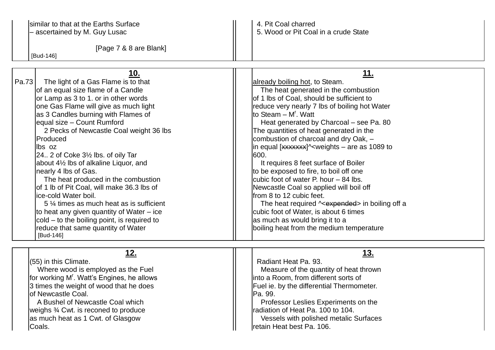similar to that at the Earths Surface<br>  $\begin{array}{c|c|c|c|c} \text{simular to that at the Earth surface} & & & & & & & & \text{4. Pit Coal charged} \\ \text{- ascertained by M. Guy Lusac} & & & & & & \text{5. Wood or Pit Coal} \end{array}$ 

[Page 7 & 8 are Blank]

## – ascertained by M. Guy Lusac 5. Wood or Pit Coal in a crude State

[Bud-146]

|       | 10.                                                | <u> 11.</u>                                                                            |
|-------|----------------------------------------------------|----------------------------------------------------------------------------------------|
| Pa.73 | The light of a Gas Flame is to that                | already boiling hot, to Steam.                                                         |
|       | of an equal size flame of a Candle                 | The heat generated in the combustion                                                   |
|       | or Lamp as 3 to 1. or in other words               | of 1 lbs of Coal, should be sufficient to                                              |
|       | one Gas Flame will give as much light              | reduce very nearly 7 lbs of boiling hot Water                                          |
|       | as 3 Candles burning with Flames of                | to Steam - M'. Watt                                                                    |
|       | equal size - Count Rumford                         | Heat generated by Charcoal - see Pa. 80                                                |
|       | 2 Pecks of Newcastle Coal weight 36 lbs            | The quantities of heat generated in the                                                |
|       | Produced                                           | combustion of charcoal and dry Oak, -                                                  |
|       | lbs oz                                             | $\frac{1}{2}$ in equal [xxxxxxx] <sup><math>\sim</math></sup> weights – are as 1089 to |
|       | $24.2$ of Coke $3\frac{1}{2}$ lbs. of oily Tar     | 600.                                                                                   |
|       | about 4 <sup>1/2</sup> lbs of alkaline Liquor, and | It requires 8 feet surface of Boiler                                                   |
|       | nearly 4 lbs of Gas.                               | to be exposed to fire, to boil off one                                                 |
|       | The heat produced in the combustion                | cubic foot of water P. hour - 84 lbs.                                                  |
|       | of 1 lb of Pit Coal, will make 36.3 lbs of         | Newcastle Coal so applied will boil off                                                |
|       | ice-cold Water boil.                               | from 8 to 12 cubic feet.                                                               |
|       | 5 1/4 times as much heat as is sufficient          | The heat required ^ <expended> in boiling off a</expended>                             |
|       | to heat any given quantity of Water – ice          | cubic foot of Water, is about 6 times                                                  |
|       | cold – to the boiling point, is required to        | as much as would bring it to a                                                         |
|       | reduce that same quantity of Water                 | boiling heat from the medium temperature                                               |
|       | [Bud-146]                                          |                                                                                        |

| 12.                                                    | <u>13.</u>                                |
|--------------------------------------------------------|-------------------------------------------|
| $(55)$ in this Climate.                                | Radiant Heat Pa. 93.                      |
| Where wood is employed as the Fuel                     | Measure of the quantity of heat thrown    |
| for working M <sup>r</sup> . Watt's Engines, he allows | linto a Room, from different sorts of     |
| 3 times the weight of wood that he does                | Fuel ie. by the differential Thermometer. |
| lof Newcastle Coal.                                    | IPa. 99.                                  |
| A Bushel of Newcastle Coal which                       | Professor Leslies Experiments on the      |
| weighs 3/4 Cwt. is reconed to produce                  | Iradiation of Heat Pa. 100 to 104.        |
| as much heat as 1 Cwt. of Glasgow                      | Vessels with polished metalic Surfaces    |
| Coals.                                                 | retain Heat best Pa. 106.                 |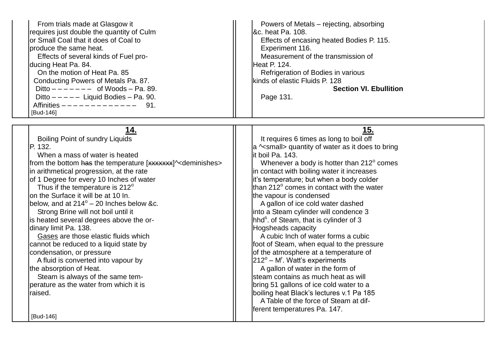| From trials made at Glasgow it<br>requires just double the quantity of Culm<br>or Small Coal that it does of Coal to<br>produce the same heat.<br>Effects of several kinds of Fuel pro-<br>ducing Heat Pa. 84.<br>On the motion of Heat Pa. 85<br>Conducting Powers of Metals Pa. 87.<br>Ditto $------$ of Woods - Pa. 89.<br>Ditto $---$ Liquid Bodies - Pa. 90.<br>Affinities $------------$<br>91.<br>[Bud-146]                                                                                                                                                                                                                                                                                                                                                                                                | Powers of Metals - rejecting, absorbing<br>&c. heat Pa. 108.<br>Effects of encasing heated Bodies P. 115.<br>Experiment 116.<br>Measurement of the transmission of<br>Heat P. 124.<br>Refrigeration of Bodies in various<br>kinds of elastic Fluids P. 128<br><b>Section VI. Ebullition</b><br>Page 131.                                                                                                                                                                                                                                                                                                                                                                                                                                                                                                                                                                                                                                                                        |
|-------------------------------------------------------------------------------------------------------------------------------------------------------------------------------------------------------------------------------------------------------------------------------------------------------------------------------------------------------------------------------------------------------------------------------------------------------------------------------------------------------------------------------------------------------------------------------------------------------------------------------------------------------------------------------------------------------------------------------------------------------------------------------------------------------------------|---------------------------------------------------------------------------------------------------------------------------------------------------------------------------------------------------------------------------------------------------------------------------------------------------------------------------------------------------------------------------------------------------------------------------------------------------------------------------------------------------------------------------------------------------------------------------------------------------------------------------------------------------------------------------------------------------------------------------------------------------------------------------------------------------------------------------------------------------------------------------------------------------------------------------------------------------------------------------------|
| 14.<br><b>Boiling Point of sundry Liquids</b><br>P. 132.<br>When a mass of water is heated<br>from the bottom has the temperature [xxxxxxx]^ <deminishes><br/>in arithmetical progression, at the rate<br/>of 1 Degree for every 10 Inches of water<br/>Thus if the temperature is 212°<br/>on the Surface it will be at 10 In.<br/>below, and at <math>214^{\circ}</math> – 20 Inches below &amp;c.<br/>Strong Brine will not boil until it<br/>is heated several degrees above the or-<br/>dinary limit Pa. 138.<br/>Gases are those elastic fluids which<br/>cannot be reduced to a liquid state by<br/>condensation, or pressure<br/>A fluid is converted into vapour by<br/>the absorption of Heat.<br/>Steam is always of the same tem-<br/>perature as the water from which it is<br/>raised.</deminishes> | 15.<br>It requires 6 times as long to boil off<br>a ^ <small> quantity of water as it does to bring<br/>lit boil Pa. 143.<br/>Whenever a body is hotter than 212° comes<br/>in contact with boiling water it increases<br/>it's temperature; but when a body colder<br/>than 212<sup>°</sup> comes in contact with the water<br/>the vapour is condensed<br/>A gallon of ice cold water dashed<br/>into a Steam cylinder will condence 3<br/>hhd<sup>s</sup>. of Steam, that is cylinder of 3<br/>Hogsheads capacity<br/>A cubic Inch of water forms a cubic<br/>foot of Steam, when equal to the pressure<br/>of the atmosphere at a temperature of<br/><math>212^{\circ}</math> – M<sup>r</sup>. Watt's experiments<br/>A gallon of water in the form of<br/>Isteam contains as much heat as will<br/>bring 51 gallons of ice cold water to a<br/>boiling heat Black's lectures v.1 Pa 185<br/>A Table of the force of Steam at dif-<br/>ferent temperatures Pa. 147.</small> |
| [Bud-146]                                                                                                                                                                                                                                                                                                                                                                                                                                                                                                                                                                                                                                                                                                                                                                                                         |                                                                                                                                                                                                                                                                                                                                                                                                                                                                                                                                                                                                                                                                                                                                                                                                                                                                                                                                                                                 |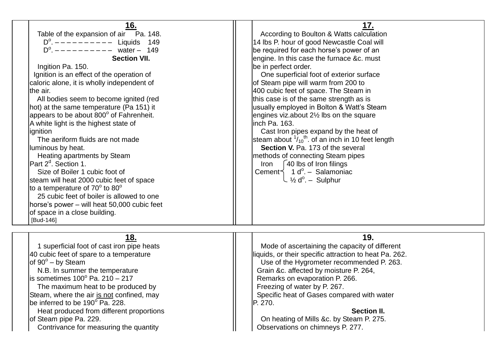| 16.<br>Table of the expansion of air Pa. 148.<br>$D^{\circ}$ . $------$ Liquids 149<br>$D^{\circ}$ . $---------$<br>water $- 149$<br><b>Section VII.</b><br>Ingition Pa. 150.<br>Ignition is an effect of the operation of<br>caloric alone, it is wholly independent of<br>the air.<br>All bodies seem to become ignited (red<br>hot) at the same temperature (Pa 151) it<br>appears to be about 800° of Fahrenheit.<br>A white light is the highest state of<br>ignition<br>The aeriform fluids are not made<br>luminous by heat.<br>Heating apartments by Steam<br>Part 2 <sup>d</sup> . Section 1.<br>Size of Boiler 1 cubic foot of<br>steam will heat 2000 cubic feet of space<br>to a temperature of $70^{\circ}$ to $80^{\circ}$<br>25 cubic feet of boiler is allowed to one<br>horse's power - will heat 50,000 cubic feet<br>of space in a close building.<br>[Bud-146] | 17.<br>According to Boulton & Watts calculation<br>14 lbs P. hour of good Newcastle Coal will<br>be required for each horse's power of an<br>engine. In this case the furnace &c. must<br>be in perfect order.<br>One superficial foot of exterior surface<br>of Steam pipe will warm from 200 to<br>400 cubic feet of space. The Steam in<br>this case is of the same strength as is<br>usually employed in Bolton & Watt's Steam<br>engines viz.about $2\frac{1}{2}$ lbs on the square<br>linch Pa. 163.<br>Cast Iron pipes expand by the heat of<br>steam about $\frac{1}{10}$ <sup>th</sup> . of an inch in 10 feet length<br>Section V. Pa. 173 of the several<br>methods of connecting Steam pipes<br>40 lbs of Iron filings<br>Iron<br>Cement $\leq$ 1 d <sup>o</sup> . - Salamoniac<br>↓½ d <sup>o</sup> . – Sulphur |
|------------------------------------------------------------------------------------------------------------------------------------------------------------------------------------------------------------------------------------------------------------------------------------------------------------------------------------------------------------------------------------------------------------------------------------------------------------------------------------------------------------------------------------------------------------------------------------------------------------------------------------------------------------------------------------------------------------------------------------------------------------------------------------------------------------------------------------------------------------------------------------|------------------------------------------------------------------------------------------------------------------------------------------------------------------------------------------------------------------------------------------------------------------------------------------------------------------------------------------------------------------------------------------------------------------------------------------------------------------------------------------------------------------------------------------------------------------------------------------------------------------------------------------------------------------------------------------------------------------------------------------------------------------------------------------------------------------------------|
|                                                                                                                                                                                                                                                                                                                                                                                                                                                                                                                                                                                                                                                                                                                                                                                                                                                                                    |                                                                                                                                                                                                                                                                                                                                                                                                                                                                                                                                                                                                                                                                                                                                                                                                                              |
| <u>18.</u><br>1 superficial foot of cast iron pipe heats<br>40 cubic feet of spare to a temperature<br>of $90^\circ -$ by Steam<br>N.B. In summer the temperature<br>is sometimes $100^{\circ}$ Pa. 210 – 217<br>The maximum heat to be produced by<br>Steam, where the air is not confined, may<br>be inferred to be 190° Pa. 228.<br>Heat produced from different proportions<br>of Steam pipe Pa. 229.<br>Contrivance for measuring the quantity                                                                                                                                                                                                                                                                                                                                                                                                                                | 19.<br>Mode of ascertaining the capacity of different<br>liquids, or their specific attraction to heat Pa. 262.<br>Use of the Hygrometer recommended P. 263.<br>Grain &c. affected by moisture P. 264,<br>Remarks on evaporation P. 266.<br>Freezing of water by P. 267.<br>Specific heat of Gases compared with water<br>P. 270.<br><b>Section II.</b><br>On heating of Mills &c. by Steam P. 275.<br>Observations on chimneys P. 277.                                                                                                                                                                                                                                                                                                                                                                                      |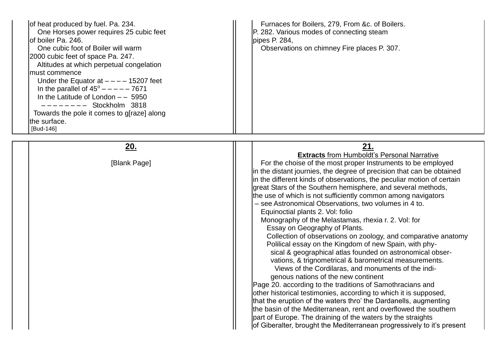| of heat produced by fuel. Pa. 234.<br>One Horses power requires 25 cubic feet<br>lof boiler Pa. 246.<br>One cubic foot of Boiler will warm<br>2000 cubic feet of space Pa. 247.<br>Altitudes at which perpetual congelation<br>must commence<br>Under the Equator at $---$ 15207 feet<br>In the parallel of $45^{\circ}$ - - - - - 7671<br>In the Latitude of London $-$ – 5950<br>Stockholm 3818<br>-------<br>Towards the pole it comes to g[raze] along<br>the surface.<br>[Bud-146] | Furnaces for Boilers, 279, From &c. of Boilers.<br>P. 282. Various modes of connecting steam<br>pipes P. 284,<br>Observations on chimney Fire places P. 307.                                                                                                                                                                                                                                                                                                                                                                                                                                                                                                                                                                                                                                                                                                                                                                                                                                                                                                                                                                                                                                                                                                                                                                                                         |
|-----------------------------------------------------------------------------------------------------------------------------------------------------------------------------------------------------------------------------------------------------------------------------------------------------------------------------------------------------------------------------------------------------------------------------------------------------------------------------------------|----------------------------------------------------------------------------------------------------------------------------------------------------------------------------------------------------------------------------------------------------------------------------------------------------------------------------------------------------------------------------------------------------------------------------------------------------------------------------------------------------------------------------------------------------------------------------------------------------------------------------------------------------------------------------------------------------------------------------------------------------------------------------------------------------------------------------------------------------------------------------------------------------------------------------------------------------------------------------------------------------------------------------------------------------------------------------------------------------------------------------------------------------------------------------------------------------------------------------------------------------------------------------------------------------------------------------------------------------------------------|
|                                                                                                                                                                                                                                                                                                                                                                                                                                                                                         |                                                                                                                                                                                                                                                                                                                                                                                                                                                                                                                                                                                                                                                                                                                                                                                                                                                                                                                                                                                                                                                                                                                                                                                                                                                                                                                                                                      |
| <u>20.</u><br>[Blank Page]                                                                                                                                                                                                                                                                                                                                                                                                                                                              | 21.<br><b>Extracts from Humboldt's Personal Narrative</b><br>For the choise of the most proper Instruments to be employed<br>in the distant journies, the degree of precision that can be obtained<br>in the different kinds of observations, the peculiar motion of certain<br>great Stars of the Southern hemisphere, and several methods,<br>the use of which is not sufficiently common among navigators<br>- see Astronomical Observations, two volumes in 4 to.<br>Equinoctial plants 2. Vol: folio<br>Monography of the Melastamas, rhexia r. 2. Vol: for<br>Essay on Geography of Plants.<br>Collection of observations on zoology, and comparative anatomy<br>Polilical essay on the Kingdom of new Spain, with phy-<br>sical & geographical atlas founded on astronomical obser-<br>vations, & trignometrical & barometrical measurements.<br>Views of the Cordilaras, and monuments of the indi-<br>genous nations of the new continent<br>Page 20. according to the traditions of Samothracians and<br>other historical testimonies, according to which it is supposed,<br>that the eruption of the waters thro' the Dardanells, augmenting<br>the basin of the Mediterranean, rent and overflowed the southern<br>part of Europe. The draining of the waters by the straights<br>of Giberalter, brought the Mediterranean progressively to it's present |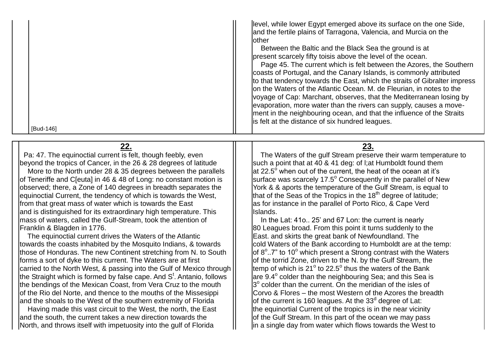| [Bud-146]                                                                         | level, while lower Egypt emerged above its surface on the one Side,<br>and the fertile plains of Tarragona, Valencia, and Murcia on the<br><b>lother</b><br>Between the Baltic and the Black Sea the ground is at<br>present scarcely fifty toisis above the level of the ocean.<br>Page 45. The current which is felt between the Azores, the Southern<br>coasts of Portugal, and the Canary Islands, is commonly attributed<br>to that tendency towards the East, which the straits of Gibralter impress<br>on the Waters of the Atlantic Ocean. M. de Fleurian, in notes to the<br>voyage of Cap: Marchant, observes, that the Mediterranean losing by<br>evaporation, more water than the rivers can supply, causes a move-<br>ment in the neighbouring ocean, and that the influence of the Straits<br>is felt at the distance of six hundred leagues. |
|-----------------------------------------------------------------------------------|-------------------------------------------------------------------------------------------------------------------------------------------------------------------------------------------------------------------------------------------------------------------------------------------------------------------------------------------------------------------------------------------------------------------------------------------------------------------------------------------------------------------------------------------------------------------------------------------------------------------------------------------------------------------------------------------------------------------------------------------------------------------------------------------------------------------------------------------------------------|
| <u>22.</u>                                                                        | <u>23.</u>                                                                                                                                                                                                                                                                                                                                                                                                                                                                                                                                                                                                                                                                                                                                                                                                                                                  |
| Pa: 47. The equinoctial current is felt, though feebly, even                      | The Waters of the gulf Stream preserve their warm temperature to                                                                                                                                                                                                                                                                                                                                                                                                                                                                                                                                                                                                                                                                                                                                                                                            |
| beyond the tropics of Cancer, in the 26 & 28 degrees of latitude                  | such a point that at 40 & 41 deg: of I; at Humboldt found them                                                                                                                                                                                                                                                                                                                                                                                                                                                                                                                                                                                                                                                                                                                                                                                              |
| More to the North under 28 & 35 degrees between the parallels                     | $\vert$ at 22.5 $^{\circ}$ when out of the current, the heat of the ocean at it's                                                                                                                                                                                                                                                                                                                                                                                                                                                                                                                                                                                                                                                                                                                                                                           |
| of Teneriffe and C[euta] in 46 & 48 of Long: no constant motion is                | surface was scarcely 17.5° Consequently in the parallel of New                                                                                                                                                                                                                                                                                                                                                                                                                                                                                                                                                                                                                                                                                                                                                                                              |
| observed; there, a Zone of 140 degrees in breadth separates the                   | York & & aports the temperature of the Gulf Stream, is equal to                                                                                                                                                                                                                                                                                                                                                                                                                                                                                                                                                                                                                                                                                                                                                                                             |
| equinoctial Current, the tendency of which is towards the West,                   | that of the Seas of the Tropics in the $18th$ degree of latitude;                                                                                                                                                                                                                                                                                                                                                                                                                                                                                                                                                                                                                                                                                                                                                                                           |
| from that great mass of water which is towards the East                           | as for instance in the parallel of Porto Rico, & Cape Verd                                                                                                                                                                                                                                                                                                                                                                                                                                                                                                                                                                                                                                                                                                                                                                                                  |
| and is distinguished for its extraordinary high temperature. This                 | Islands.                                                                                                                                                                                                                                                                                                                                                                                                                                                                                                                                                                                                                                                                                                                                                                                                                                                    |
| mass of waters, called the Gulf-Stream, took the attention of                     | In the Lat: 410 25' and 67 Lon: the current is nearly                                                                                                                                                                                                                                                                                                                                                                                                                                                                                                                                                                                                                                                                                                                                                                                                       |
| Franklin & Blagden in 1776.                                                       | 80 Leagues broad. From this point it turns suddenly to the                                                                                                                                                                                                                                                                                                                                                                                                                                                                                                                                                                                                                                                                                                                                                                                                  |
| The equinoctial current drives the Waters of the Atlantic                         | East. and skirts the great bank of Newfoundland. The                                                                                                                                                                                                                                                                                                                                                                                                                                                                                                                                                                                                                                                                                                                                                                                                        |
| towards the coasts inhabited by the Mosquito Indians, & towards                   | cold Waters of the Bank according to Humboldt are at the temp:                                                                                                                                                                                                                                                                                                                                                                                                                                                                                                                                                                                                                                                                                                                                                                                              |
| those of Honduras. The new Continent stretching from N. to South                  | of $8^{\circ}$ 7" to 10 $^{\circ}$ which present a Strong contrast with the Waters                                                                                                                                                                                                                                                                                                                                                                                                                                                                                                                                                                                                                                                                                                                                                                          |
| forms a sort of dyke to this current. The Waters are at first                     | of the torrid Zone, driven to the N. by the Gulf Stream, the                                                                                                                                                                                                                                                                                                                                                                                                                                                                                                                                                                                                                                                                                                                                                                                                |
| carried to the North West, & passing into the Gulf of Mexico through              | temp of which is 21 $^{\circ}$ to 22.5 $^{\circ}$ thus the waters of the Bank                                                                                                                                                                                                                                                                                                                                                                                                                                                                                                                                                                                                                                                                                                                                                                               |
| the Straight which is formed by false cape. And S <sup>t</sup> . Antanio, follows | are $9.4^{\circ}$ colder than the neighbouring Sea; and this Sea is                                                                                                                                                                                                                                                                                                                                                                                                                                                                                                                                                                                                                                                                                                                                                                                         |
| the bendings of the Mexican Coast, from Vera Cruz to the mouth                    | $3^\circ$ colder than the current. On the meridian of the isles of                                                                                                                                                                                                                                                                                                                                                                                                                                                                                                                                                                                                                                                                                                                                                                                          |
| of the Rio del Norte, and thence to the mouths of the Missesippi                  | Corvo & Flores - the most Western of the Azores the breadth                                                                                                                                                                                                                                                                                                                                                                                                                                                                                                                                                                                                                                                                                                                                                                                                 |
| and the shoals to the West of the southern extremity of Florida                   | of the current is 160 leagues. At the 33 $d$ degree of Lat:                                                                                                                                                                                                                                                                                                                                                                                                                                                                                                                                                                                                                                                                                                                                                                                                 |
| Having made this vast circuit to the West, the north, the East                    | the equinortial Current of the tropics is in the near vicinity                                                                                                                                                                                                                                                                                                                                                                                                                                                                                                                                                                                                                                                                                                                                                                                              |
| and the south, the current takes a new direction towards the                      | of the Gulf Stream. In this part of the ocean we may pass                                                                                                                                                                                                                                                                                                                                                                                                                                                                                                                                                                                                                                                                                                                                                                                                   |
| North, and throws itself with impetuosity into the gulf of Florida                | in a single day from water which flows towards the West to                                                                                                                                                                                                                                                                                                                                                                                                                                                                                                                                                                                                                                                                                                                                                                                                  |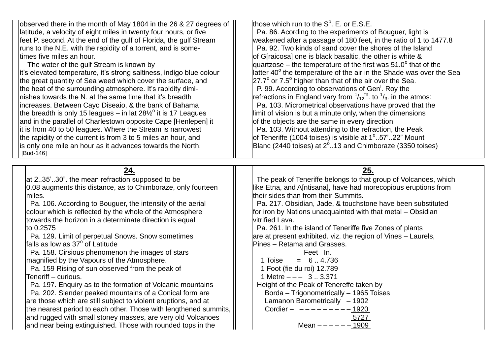observed there in the month of May 1804 in the 26 & 27 degrees of latitude, a velocity of eight miles in twenty four hours, or five  $||$  | Pa. 86. Acording to the experiments of Bouguer, light is feet P. second. At the end of the gulf of Florida, the gulf Stream  $\parallel$  weakened after a passage of 180 feet, in the ratio of 1 to 1477.8 runs to the N.E. with the rapidity of a torrent, and is someruns to the N.E. with the rapidity of a torrent, and is some-

lit's elevated temperature, it's strong saltiness, indigo blue colour Ithe great quantity of Sea weed which cover the surface, and the heat of the surrounding atmosphere. It's rapidity diminishes towards the N. at the same time that it's breadth  $\vert$  refractions in England vary from  $\frac{1}{12}$ <sup>th</sup>. to  $\frac{1}{3}$  in the atmos:<br>increases. Between Cayo Diseaio, & the bank of Bahama  $\vert$  Pa. 103. Micrometrical o increases. Between Cayo Diseaio, & the bank of Bahama the breadth is only 15 leagues – in lat  $28\frac{1}{2}^\circ$  it is 17 Leagues and in the parallel of Charlestown opposite Cape [Henlepen] it  $\|\cdot\|$  of the objects are the same in every direction  $\frac{1}{1}$  it is from 40 to 50 leagues. Where the Stream is narrowest  $\frac{1}{1}$  | Pa. 103. Without attending to the refraction, the Peak Ithe rapidity of the current is from 3 to 5 miles an hour, and is only one mile an hour as it advances towards the North. [Bud-146]

Ithose which run to the  $S^{\circ}$ . F, or  $F.S.F.$ times five miles an hour.<br>The water of the gulf Stream is known by example and a set of G[raicosa] one is black basaltic, the other is white & The water of the gulf Stream is known by  $\|$  quartzose – the temperature of the first was 51.0<sup>o</sup> that of the llatter 40 $^{\circ}$  the temperature of the air in the Shade was over the Sea or 7.5<sup>°</sup> higher than that of the air over the Sea. P. 99. According to observations of Gen<sup>1</sup>. Roy the  $\frac{1}{12}$ <sup>th</sup>. to  $\frac{1}{3}$  in the atmos: llimit of vision is but a minute only, when the dimensions of Teneriffe (1004 toises) is visible at  $1^\circ$ ..57'..22" Mount Blanc (2440 toises) at  $2^{\circ}$ ..13 and Chimboraze (3350 toises)

| at 235'30" the mean refraction supposed to be                    | The peak of Teneriffe belongs to that group of Volcanoes, which |
|------------------------------------------------------------------|-----------------------------------------------------------------|
| 0.08 augments this distance, as to Chimboraze, only fourteen     | like Etna, and A[ntisana], have had morecopious eruptions from  |
| miles.                                                           | their sides than from their Summits.                            |
| Pa. 106. According to Bouguer, the intensity of the aerial       | Pa. 217. Obsidian, Jade, & touchstone have been substituted     |
| colour which is reflected by the whole of the Atmosphere         | for iron by Nations unacquainted with that metal - Obsidian     |
| towards the horizon in a determinate direction is equal          | vitrified Lava.                                                 |
| Ito $0.2575$                                                     | Pa. 261. In the island of Teneriffe five Zones of plants        |
| Pa. 129. Limit of perpetual Snows. Snow sometimes                | are at present exhibited. viz. the region of Vines – Laurels,   |
| Ifalls as low as 37° of Latitude                                 | Pines - Retama and Grasses.                                     |
| Pa. 158. Cirsious phenomenon the images of stars                 | Feet In.                                                        |
| magnified by the Vapours of the Atmosphere.                      | $= 6.4.736$<br>1 Toise                                          |
| Pa. 159 Rising of sun observed from the peak of                  | 1 Foot (fie du roi) 12.789                                      |
| Teneriff – curious.                                              | 1 Metre $--- 3$ 3.371                                           |
| Pa. 197. Enquiry as to the formation of Volcanic mountains       | Height of the Peak of Tenereffe taken by                        |
| Pa. 202. Slender peaked mountains of a Conical form are          | Borda - Trigonometrically - 1965 Toises                         |
| are those which are still subject to violent eruptions, and at   | Lamanon Barometrically - 1902                                   |
| the nearest period to each other. Those with lengthened summits, | Cordier $ -- ---$ - $   -$ 1920                                 |
| and rugged with small stoney masses, are very old Volcanoes      | 5727                                                            |
| and near being extinguished. Those with rounded tops in the      | Mean $----1909$                                                 |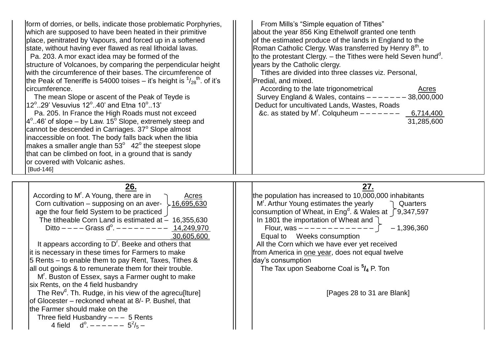| form of dorries, or bells, indicate those problematic Porphyries,<br>which are supposed to have been heated in their primitive<br>place, penitrated by Vapours, and forced up in a softened<br>state, without having ever flawed as real lithoidal lavas.<br>Pa. 203. A mor exact idea may be formed of the<br>structure of Volcanoes, by comparing the perpendicular height<br>with the circumference of their bases. The circumference of<br>the Peak of Teneriffe is 54000 toises – it's height is $\frac{1}{28}$ <sup>th</sup> . of it's<br>lcircumference.<br>The mean Slope or ascent of the Peak of Teyde is<br>12 <sup>°</sup> 29' Vesuvius 12 <sup>°</sup> 40' and Etna 10 <sup>°</sup> 13'<br>Pa. 205. In France the High Roads must not exceed<br>$4^{\circ}$ 46' of slope – by Law. 15 $^{\circ}$ Slope, extremely steep and<br>cannot be descended in Carriages. 37° Slope almost<br>inaccessible on foot. The body falls back when the libia<br>makes a smaller angle than $53^{\circ}$ 42 $^{\circ}$ the steepest slope<br>that can be climbed on foot, in a ground that is sandy<br>or covered with Volcanic ashes.<br>[Bud-146] | From Mills's "Simple equation of Tithes"<br>about the year 856 King Ethelwolf granted one tenth<br>of the estimated produce of the lands in England to the<br>Roman Catholic Clergy. Was transferred by Henry 8 <sup>th</sup> . to<br>to the protestant Clergy. $-$ the Tithes were held Seven hund <sup>d</sup> .<br>years by the Catholic clergy.<br>Tithes are divided into three classes viz. Personal,<br>Predial, and mixed.<br>According to the late trigonometrical<br><b>Acres</b><br>Survey England & Wales, contains $-----38,000,000$<br>Deduct for uncultivated Lands, Wastes, Roads<br>&c. as stated by M'. Colquheum $---$ - $---$<br>6,714,400<br>31,285,600 |
|--------------------------------------------------------------------------------------------------------------------------------------------------------------------------------------------------------------------------------------------------------------------------------------------------------------------------------------------------------------------------------------------------------------------------------------------------------------------------------------------------------------------------------------------------------------------------------------------------------------------------------------------------------------------------------------------------------------------------------------------------------------------------------------------------------------------------------------------------------------------------------------------------------------------------------------------------------------------------------------------------------------------------------------------------------------------------------------------------------------------------------------------------|------------------------------------------------------------------------------------------------------------------------------------------------------------------------------------------------------------------------------------------------------------------------------------------------------------------------------------------------------------------------------------------------------------------------------------------------------------------------------------------------------------------------------------------------------------------------------------------------------------------------------------------------------------------------------|
| 26.<br>According to M <sup>r</sup> . A Young, there are in<br>Acres<br>Corn cultivation – supposing on an aver- $\frac{16,695,630}{2}$<br>age the four field System to be practiced  <br>The titheable Corn Land is estimated at $\sim$ 16,355,630<br>Ditto $---$ Grass d <sup>o</sup> . $-- -- ---$ 14,249,970<br>30,605,600<br>It appears according to D'. Beeke and others that<br>it is necessary in these times for Farmers to make<br>5 Rents - to enable them to pay Rent, Taxes, Tithes &<br>all out goings & to remunerate them for their trouble.<br>M'. Buston of Essex, says a Farmer ought to make<br>six Rents, on the 4 field husbandry<br>The Rev <sup>d</sup> . Th. Rudge, in his view of the agrecullture]<br>of Glocester - reckoned wheat at 8/- P. Bushel, that<br>the Farmer should make on the<br>Three field Husbandry $--- 5$ Rents<br>4 field $d^{\circ}$ . – – – – – – 5 <sup>2</sup> / <sub>5</sub> –                                                                                                                                                                                                                | 27.<br>the population has increased to 10,000,000 inhabitants<br>M'. Arthur Young estimates the yearly<br>Quarters<br>consumption of Wheat, in Eng <sup>d</sup> . & Wales at $\int 9,347,597$<br>In 1801 the importation of Wheat and<br>$-1,396,360$<br>Flour, was $------------$<br>Equal to Weeks consumption<br>All the Corn which we have ever yet received<br>from America in one year, does not equal twelve<br>day's consumption<br>The Tax upon Seaborne Coal is $\frac{5}{4}$ P. Ton<br>[Pages 28 to 31 are Blank]                                                                                                                                                 |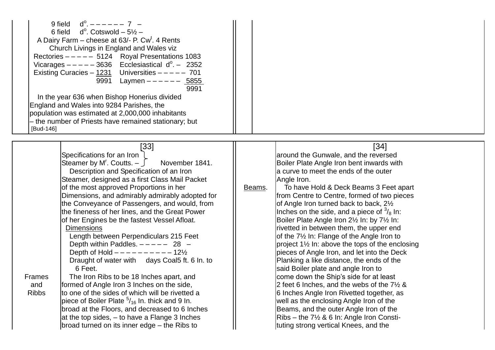| $d^{\circ}$ , $     7$ $-$<br>9 field<br>d <sup>o</sup> . Cotswold – 5½ –<br>6 field<br>A Dairy Farm – cheese at 63/- P. Cw <sup>t</sup> . 4 Rents<br>Church Livings in England and Wales viz<br>Rectories $--- 5124$ Royal Presentations 1083<br>Vicarages $- - - - - 3636$ Ecclesiastical $d^0 - 2352$<br>Existing Curacies - $1231$ Universities - - - - 701<br>Laymen $--- 5855$<br>9991<br>9991<br>In the year 636 when Bishop Honerius divided<br>England and Wales into 9284 Parishes, the<br>population was estimated at 2,000,000 inhabitants<br>- the number of Priests have remained stationary; but<br>[Bud-146]                                                                                                                                                                                                                                                                                                                                                                                                                         |                                                                                                                                                                                                                                                                                                                                                                                                                                                                                                                                                                                                                                                                                                                                                                                                                                                                                                                                                                                                                                                 |
|------------------------------------------------------------------------------------------------------------------------------------------------------------------------------------------------------------------------------------------------------------------------------------------------------------------------------------------------------------------------------------------------------------------------------------------------------------------------------------------------------------------------------------------------------------------------------------------------------------------------------------------------------------------------------------------------------------------------------------------------------------------------------------------------------------------------------------------------------------------------------------------------------------------------------------------------------------------------------------------------------------------------------------------------------|-------------------------------------------------------------------------------------------------------------------------------------------------------------------------------------------------------------------------------------------------------------------------------------------------------------------------------------------------------------------------------------------------------------------------------------------------------------------------------------------------------------------------------------------------------------------------------------------------------------------------------------------------------------------------------------------------------------------------------------------------------------------------------------------------------------------------------------------------------------------------------------------------------------------------------------------------------------------------------------------------------------------------------------------------|
| [33]<br>Specifications for an Iron<br>Steamer by M'. Coutts. $ \int$<br>November 1841.<br>Description and Specification of an Iron<br>Steamer, designed as a first Class Mail Packet<br>of the most approved Proportions in her<br>Dimensions, and admirably admirably adopted for<br>the Conveyance of Passengers, and would, from<br>the fineness of her lines, and the Great Power<br>of her Engines be the fastest Vessel Afloat.<br><b>Dimensions</b><br>Length between Perpendiculars 215 Feet<br>Depth within Paddles. $---28$ -<br>Depth of Hold $- - - - - - - - - 12\frac{1}{2}$<br>Draught of water with days Coal5 ft. 6 In. to<br>6 Feet.<br>The Iron Ribs to be 18 Inches apart, and<br><b>Frames</b><br>and<br>formed of Angle Iron 3 Inches on the side,<br><b>Ribbs</b><br>to one of the sides of which will be rivetted a<br>piece of Boiler Plate $5/16$ In. thick and 9 In.<br>broad at the Floors, and decreased to 6 Inches<br>at the top sides, $-$ to have a Flange 3 Inches<br>broad turned on its inner edge – the Ribs to | $[34]$<br>around the Gunwale, and the reversed<br>Boiler Plate Angle Iron bent inwards with<br>a curve to meet the ends of the outer<br>Angle Iron.<br>To have Hold & Deck Beams 3 Feet apart<br>Beams.<br>from Centre to Centre, formed of two pieces<br>of Angle Iron turned back to back, 21/2<br>Inches on the side, and a piece of $\frac{3}{8}$ In:<br>Boiler Plate Angle Iron 21/2 In: by 71/2 In:<br>rivetted in between them, the upper end<br>of the 71/2 In: Flange of the Angle Iron to<br>project 1½ In: above the tops of the enclosing<br>pieces of Angle Iron, and let into the Deck<br>Planking a like distance, the ends of the<br>said Boiler plate and angle Iron to<br>come down the Ship's side for at least<br>2 feet 6 lnches, and the webs of the $7\frac{1}{2}$ &<br>6 Inches Angle Iron Rivetted together, as<br>well as the enclosing Angle Iron of the<br>Beams, and the outer Angle Iron of the<br>$Ribs$ – the 7 <sup>1</sup> / <sub>2</sub> & 6 In: Angle Iron Consti-<br>tuting strong vertical Knees, and the |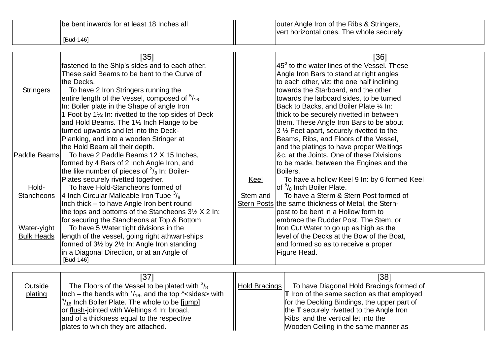|                   | $[35]$                                                             |                   | [36]                                                |
|-------------------|--------------------------------------------------------------------|-------------------|-----------------------------------------------------|
|                   | fastened to the Ship's sides and to each other.                    |                   | $ 45^\circ$ to the water lines of the Vessel. These |
|                   | These said Beams to be bent to the Curve of                        |                   | Angle Iron Bars to stand at right angles            |
|                   | the Decks.                                                         |                   | to each other, viz: the one half inclining          |
| <b>Stringers</b>  | To have 2 Iron Stringers running the                               |                   | towards the Starboard, and the other                |
|                   | entire length of the Vessel, composed of $\frac{5}{16}$            |                   | towards the larboard sides, to be turned            |
|                   | In: Boiler plate in the Shape of angle Iron                        |                   | Back to Backs, and Boiler Plate 1/4 In:             |
|                   | 1 Foot by 1 <sup>1/2</sup> In: rivetted to the top sides of Deck   |                   | thick to be securely rivetted in between            |
|                   | and Hold Beams. The 11/2 Inch Flange to be                         |                   | them. These Angle Iron Bars to be about             |
|                   | turned upwards and let into the Deck-                              |                   | $3\frac{1}{2}$ Feet apart, securely rivetted to the |
|                   | Planking, and into a wooden Stringer at                            |                   | Beams, Ribs, and Floors of the Vessel,              |
|                   | the Hold Beam all their depth.                                     |                   | and the platings to have proper Weltings            |
| Paddle Beams      | To have 2 Paddle Beams 12 X 15 Inches,                             |                   | &c. at the Joints. One of these Divisions           |
|                   | formed by 4 Bars of 2 Inch Angle Iron, and                         |                   | to be made, between the Engines and the             |
|                   | the like number of pieces of $\frac{3}{8}$ In: Boiler-             |                   | Boilers.                                            |
|                   | Plates securely rivetted together.                                 | <u>Keel</u>       | To have a hollow Keel 9 In: by 6 formed Keel        |
| Hold-             | To have Hold-Stancheons formed of                                  |                   | of $\frac{5}{8}$ Inch Boiler Plate.                 |
| Stancheons        | 4 Inch Circular Malleable Iron Tube $\frac{3}{8}$                  | Stem and          | To have a Sterm & Stern Post formed of              |
|                   | Inch thick – to have Angle Iron bent round                         |                   | Stern Posts the same thickness of Metal, the Stern- |
|                   | the tops and bottoms of the Stancheons $3\frac{1}{2}$ X 2 In:      |                   | post to be bent in a Hollow form to                 |
|                   | for securing the Stancheons at Top & Bottom                        |                   | embrace the Rudder Post. The Stem, or               |
| Water-yight       | To have 5 Water tight divisions in the                             |                   | Iron Cut Water to go up as high as the              |
| <b>Bulk Heads</b> | length of the vessel, going right athwart-ships                    |                   | level of the Decks at the Bow of the Boat,          |
|                   | formed of $3\frac{1}{2}$ by $2\frac{1}{2}$ In: Angle Iron standing |                   | and formed so as to receive a proper                |
|                   | in a Diagonal Direction, or at an Angle of                         |                   | Figure Head.                                        |
|                   | [Bud-146]                                                          |                   |                                                     |
|                   |                                                                    |                   |                                                     |
|                   | [37]                                                               |                   | [38]                                                |
| <b>Outside</b>    | The Floors of the Vessel to be plated with $\frac{3}{6}$           | l Hold Bracings L | To have Diagonal Hold Bracings formed of            |

|         | IJ 1                                                                      |               | IJO.                                               |
|---------|---------------------------------------------------------------------------|---------------|----------------------------------------------------|
| Outside | The Floors of the Vessel to be plated with $\frac{3}{8}$                  | Hold Bracings | To have Diagonal Hold Bracings formed of           |
| plating | $\ln$ ch – the bends with $\frac{7}{16}$ , and the top $\sim$ sides> with |               | <b>T</b> Iron of the same section as that employed |
|         | $\frac{5}{16}$ Inch Boiler Plate. The whole to be [jump]                  |               | for the Decking Bindings, the upper part of        |
|         | or flush-jointed with Weltings 4 In: broad,                               |               | the T securely rivetted to the Angle Iron          |
|         | and of a thickness equal to the respective                                |               | Ribs, and the vertical let into the                |
|         | plates to which they are attached.                                        |               | Wooden Ceiling in the same manner as               |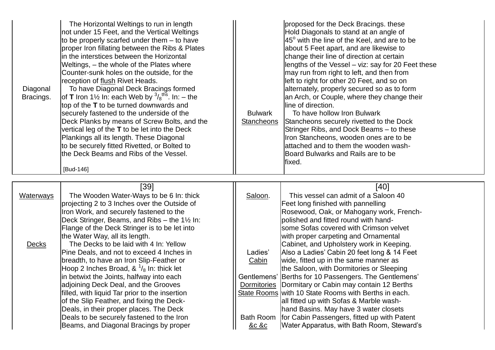| Diagonal<br>Bracings. | The Horizontal Weltings to run in length<br>not under 15 Feet, and the Vertical Weltings<br>to be properly scarfed under them - to have<br>proper Iron fillating between the Ribs & Plates<br>in the interstices between the Horizontal<br>Weltings, - the whole of the Plates where<br>Counter-sunk holes on the outside, for the<br>reception of flush Rivet Heads.<br>To have Diagonal Deck Bracings formed<br>of <b>T</b> Iron 1½ In: each Web by $\frac{3}{8}$ <sup>ths</sup> . In: – the<br>top of the T to be turned downwards and<br>securely fastened to the underside of the<br>Deck Planks by means of Screw Bolts, and the<br>vertical leg of the T to be let into the Deck<br>Plankings all its length. These Diagonal<br>to be securely fitted Rivetted, or Bolted to<br>the Deck Beams and Ribs of the Vessel.<br>[Bud-146] | <b>Bulwark</b><br><b>Stancheons</b> | proposed for the Deck Bracings. these<br>Hold Diagonals to stand at an angle of<br>$45^\circ$ with the line of the Keel, and are to be<br>about 5 Feet apart, and are likewise to<br>change their line of direction at certain<br>lengths of the Vessel - viz: say for 20 Feet these<br>may run from right to left, and then from<br>left to right for other 20 Feet, and so on<br>alternately, properly secured so as to form<br>an Arch, or Couple, where they change their<br>line of direction.<br>To have hollow Iron Bulwark<br>Stancheons securely rivetted to the Dock<br>Stringer Ribs, and Dock Beams - to these<br>Iron Stancheons, wooden ones are to be<br>attached and to them the wooden wash-<br>Board Bulwarks and Rails are to be<br>fixed. |
|-----------------------|--------------------------------------------------------------------------------------------------------------------------------------------------------------------------------------------------------------------------------------------------------------------------------------------------------------------------------------------------------------------------------------------------------------------------------------------------------------------------------------------------------------------------------------------------------------------------------------------------------------------------------------------------------------------------------------------------------------------------------------------------------------------------------------------------------------------------------------------|-------------------------------------|---------------------------------------------------------------------------------------------------------------------------------------------------------------------------------------------------------------------------------------------------------------------------------------------------------------------------------------------------------------------------------------------------------------------------------------------------------------------------------------------------------------------------------------------------------------------------------------------------------------------------------------------------------------------------------------------------------------------------------------------------------------|
| <b>Waterways</b>      | $[39]$<br>The Wooden Water-Ways to be 6 In: thick<br>projecting 2 to 3 Inches over the Outside of<br>Iron Work, and securely fastened to the<br>Deck Stringer, Beams, and Ribs - the 11/2 In:                                                                                                                                                                                                                                                                                                                                                                                                                                                                                                                                                                                                                                              | Saloon.                             | [40]<br>This vessel can admit of a Saloon 40<br>Feet long finished with pannelling<br>Rosewood, Oak, or Mahogany work, French-<br>polished and fitted round with hand-                                                                                                                                                                                                                                                                                                                                                                                                                                                                                                                                                                                        |
| <b>Decks</b>          | Flange of the Deck Stringer is to be let into<br>the Water Way, all its length.<br>The Decks to be laid with 4 In: Yellow<br>Pine Deals, and not to exceed 4 Inches in<br>breadth, to have an Iron Slip-Feather or<br>Hoop 2 Inches Broad, $\&^{1/6}$ In: thick let                                                                                                                                                                                                                                                                                                                                                                                                                                                                                                                                                                        | Ladies'<br><b>Cabin</b>             | some Sofas covered with Crimson velvet<br>with proper carpeting and Ornamental<br>Cabinet, and Upholstery work in Keeping.<br>Also a Ladies' Cabin 20 feet long & 14 Feet<br>wide, fitted up in the same manner as<br>the Saloon, with Dormitories or Sleeping                                                                                                                                                                                                                                                                                                                                                                                                                                                                                                |
|                       | in betwixt the Joints, halfway into each<br>adjoining Deck Deal, and the Grooves<br>filled, with liquid Tar prior to the insertion<br>of the Slip Feather, and fixing the Deck-<br>Deals, in their proper places. The Deck                                                                                                                                                                                                                                                                                                                                                                                                                                                                                                                                                                                                                 |                                     | Gentlemens' Berths for 10 Passengers. The Gentlemens'<br>Dormitories   Dormitary or Cabin may contain 12 Berths<br>State Rooms with 10 State Rooms with Berths in each.<br>all fitted up with Sofas & Marble wash-<br>hand Basins. May have 3 water closets                                                                                                                                                                                                                                                                                                                                                                                                                                                                                                   |

Deals to be securely fastened to the Iron **Bath Room for Cabin Passengers, fitted up with Patent** 

Beams, and Diagonal Bracings by proper  $\|$  &c &c Water Apparatus, with Bath Room, Steward's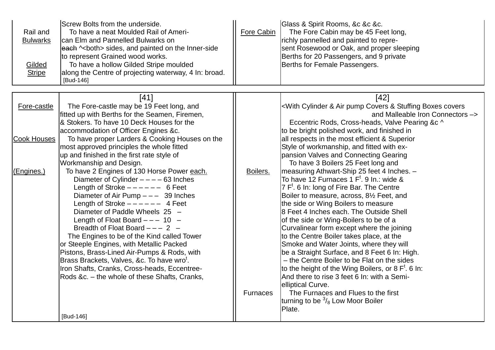| Rail and<br><b>Bulwarks</b><br>Gilded<br><b>Stripe</b> | Screw Bolts from the underside.<br>To have a neat Moulded Rail of Ameri-<br>can Elm and Pannelled Bulwarks on<br>each ^ <both> sides, and painted on the Inner-side<br/>to represent Grained wood works.<br/>To have a hollow Gilded Stripe moulded<br/>along the Centre of projecting waterway, 4 In: broad.<br/>[Bud-146]</both> | Fore Cabin      | Glass & Spirit Rooms, &c &c &c.<br>The Fore Cabin may be 45 Feet long,<br>richly pannelled and painted to repre-<br>sent Rosewood or Oak, and proper sleeping<br>Berths for 20 Passengers, and 9 private<br>Berths for Female Passengers. |
|--------------------------------------------------------|------------------------------------------------------------------------------------------------------------------------------------------------------------------------------------------------------------------------------------------------------------------------------------------------------------------------------------|-----------------|-------------------------------------------------------------------------------------------------------------------------------------------------------------------------------------------------------------------------------------------|
|                                                        | $[41]$                                                                                                                                                                                                                                                                                                                             |                 | $[42]$                                                                                                                                                                                                                                    |
| Fore-castle                                            | The Fore-castle may be 19 Feet long, and<br>fitted up with Berths for the Seamen, Firemen,                                                                                                                                                                                                                                         |                 | <with &="" air="" boxes="" covers="" covers<br="" cylinder="" pump="" stuffing="">and Malleable Iron Connectors -&gt;</with>                                                                                                              |
|                                                        | & Stokers. To have 10 Deck Houses for the                                                                                                                                                                                                                                                                                          |                 | Eccentric Rods, Cross-heads, Valve Pearing &c ^                                                                                                                                                                                           |
|                                                        | accommodation of Officer Engines &c.                                                                                                                                                                                                                                                                                               |                 | to be bright polished work, and finished in                                                                                                                                                                                               |
| Cook Houses                                            | To have proper Larders & Cooking Houses on the                                                                                                                                                                                                                                                                                     |                 | all respects in the most efficient & Superior                                                                                                                                                                                             |
|                                                        | most approved principles the whole fitted<br>up and finished in the first rate style of                                                                                                                                                                                                                                            |                 | Style of workmanship, and fitted with ex-<br>pansion Valves and Connecting Gearing                                                                                                                                                        |
|                                                        | Workmanship and Design.                                                                                                                                                                                                                                                                                                            |                 | To have 3 Boilers 25 Feet long and                                                                                                                                                                                                        |
| (Engines.)                                             | To have 2 Engines of 130 Horse Power each.                                                                                                                                                                                                                                                                                         | Boilers.        | measuring Athwart-Ship 25 feet 4 Inches. -                                                                                                                                                                                                |
|                                                        | Diameter of Cylinder $---63$ Inches<br>Length of Stroke $--- - - 6$ Feet                                                                                                                                                                                                                                                           |                 | To have 12 Furnaces 1 $Ft$ . 9 In.: wide &<br>$7 Ft$ . 6 In: long of Fire Bar. The Centre                                                                                                                                                 |
|                                                        | Diameter of Air Pump $---$ 39 Inches                                                                                                                                                                                                                                                                                               |                 | Boiler to measure, across, 81/2 Feet, and                                                                                                                                                                                                 |
|                                                        | Length of Stroke $--- - -$ 4 Feet                                                                                                                                                                                                                                                                                                  |                 | the side or Wing Boilers to measure                                                                                                                                                                                                       |
|                                                        | Diameter of Paddle Wheels 25 -                                                                                                                                                                                                                                                                                                     |                 | 8 Feet 4 Inches each. The Outside Shell                                                                                                                                                                                                   |
|                                                        | Length of Float Board $--- 10 -$                                                                                                                                                                                                                                                                                                   |                 | of the side or Wing-Boilers to be of a                                                                                                                                                                                                    |
|                                                        | Breadth of Float Board $--- 2$ -<br>The Engines to be of the Kind called Tower                                                                                                                                                                                                                                                     |                 | Curvalinear form except where the joining<br>to the Centre Boiler takes place, at the                                                                                                                                                     |
|                                                        | or Steeple Engines, with Metallic Packed                                                                                                                                                                                                                                                                                           |                 | Smoke and Water Joints, where they will                                                                                                                                                                                                   |
|                                                        | Pistons, Brass-Lined Air-Pumps & Rods, with                                                                                                                                                                                                                                                                                        |                 | be a Straight Surface, and 8 Feet 6 In: High.                                                                                                                                                                                             |
|                                                        | Brass Brackets, Valves, &c. To have wro <sup>t</sup> .                                                                                                                                                                                                                                                                             |                 | - the Centre Boiler to be Flat on the sides                                                                                                                                                                                               |
|                                                        | Iron Shafts, Cranks, Cross-heads, Eccentree-                                                                                                                                                                                                                                                                                       |                 | to the height of the Wing Boilers, or 8 $Ft$ . 6 In:<br>And there to rise 3 feet 6 In: with a Semi-                                                                                                                                       |
|                                                        | Rods &c. - the whole of these Shafts, Cranks,                                                                                                                                                                                                                                                                                      |                 | elliptical Curve.                                                                                                                                                                                                                         |
|                                                        |                                                                                                                                                                                                                                                                                                                                    | <b>Furnaces</b> | The Furnaces and Flues to the first                                                                                                                                                                                                       |
|                                                        |                                                                                                                                                                                                                                                                                                                                    |                 | turning to be $\frac{3}{8}$ Low Moor Boiler                                                                                                                                                                                               |
|                                                        | [Bud-146]                                                                                                                                                                                                                                                                                                                          |                 | Plate.                                                                                                                                                                                                                                    |
|                                                        |                                                                                                                                                                                                                                                                                                                                    |                 |                                                                                                                                                                                                                                           |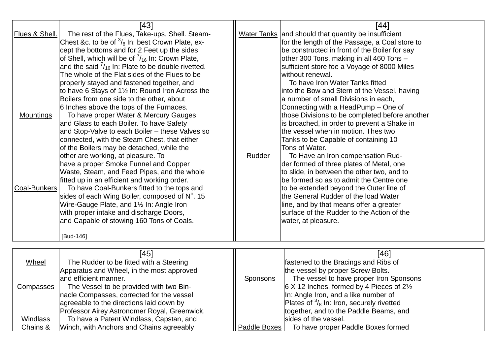| Flues & Shell.<br><b>Mountings</b><br>Coal-Bunkers | $[43]$<br>The rest of the Flues, Take-ups, Shell. Steam-<br>Chest &c. to be of $\frac{3}{8}$ In: best Crown Plate, ex-<br>cept the bottoms and for 2 Feet up the sides<br>of Shell, which will be of $\frac{7}{16}$ In: Crown Plate,<br>and the said $\frac{7}{16}$ In: Plate to be double rivetted.<br>The whole of the Flat sides of the Flues to be<br>properly stayed and fastened together, and<br>to have 6 Stays of 11/2 In: Round Iron Across the<br>Boilers from one side to the other, about<br>6 Inches above the tops of the Furnaces.<br>To have proper Water & Mercury Gauges<br>and Glass to each Boiler. To have Safety<br>and Stop-Valve to each Boiler - these Valves so<br>connected, with the Steam Chest, that either<br>of the Boilers may be detached, while the<br>other are working, at pleasure. To<br>have a proper Smoke Funnel and Copper<br>Waste, Steam, and Feed Pipes, and the whole<br>fitted up in an efficient and working order.<br>To have Coal-Bunkers fitted to the tops and<br>sides of each Wing Boiler, composed of N°. 15<br>Wire-Gauge Plate, and 11/2 In: Angle Iron<br>with proper intake and discharge Doors,<br>and Capable of stowing 160 Tons of Coals. | Rudder   | $[44]$<br>Water Tanks and should that quantity be insufficient<br>for the length of the Passage, a Coal store to<br>be constructed in front of the Boiler for say<br>other 300 Tons, making in all 460 Tons -<br>sufficient store foe a Voyage of 8000 Miles<br>without renewal.<br>To have Iron Water Tanks fitted<br>linto the Bow and Stern of the Vessel, having<br>a number of small Divisions in each,<br>Connecting with a HeadPump – One of<br>those Divisions to be completed before another<br>is broached, in order to prevent a Shake in<br>the vessel when in motion. Thes two<br>Tanks to be Capable of containing 10<br>Tons of Water.<br>To Have an Iron compensation Rud-<br>der formed of three plates of Metal, one<br>to slide, in between the other two, and to<br>be formed so as to admit the Centre one<br>to be extended beyond the Outer line of<br>the General Rudder of the load Water<br>line, and by that means offer a greater<br>surface of the Rudder to the Action of the<br>water, at pleasure. |  |
|----------------------------------------------------|------------------------------------------------------------------------------------------------------------------------------------------------------------------------------------------------------------------------------------------------------------------------------------------------------------------------------------------------------------------------------------------------------------------------------------------------------------------------------------------------------------------------------------------------------------------------------------------------------------------------------------------------------------------------------------------------------------------------------------------------------------------------------------------------------------------------------------------------------------------------------------------------------------------------------------------------------------------------------------------------------------------------------------------------------------------------------------------------------------------------------------------------------------------------------------------------------------|----------|------------------------------------------------------------------------------------------------------------------------------------------------------------------------------------------------------------------------------------------------------------------------------------------------------------------------------------------------------------------------------------------------------------------------------------------------------------------------------------------------------------------------------------------------------------------------------------------------------------------------------------------------------------------------------------------------------------------------------------------------------------------------------------------------------------------------------------------------------------------------------------------------------------------------------------------------------------------------------------------------------------------------------------|--|
|                                                    |                                                                                                                                                                                                                                                                                                                                                                                                                                                                                                                                                                                                                                                                                                                                                                                                                                                                                                                                                                                                                                                                                                                                                                                                            |          |                                                                                                                                                                                                                                                                                                                                                                                                                                                                                                                                                                                                                                                                                                                                                                                                                                                                                                                                                                                                                                    |  |
| Wheel<br><b>Compasses</b>                          | $[45]$<br>The Rudder to be fitted with a Steering<br>Apparatus and Wheel, in the most approved<br>and efficient manner.<br>The Vessel to be provided with two Bin-                                                                                                                                                                                                                                                                                                                                                                                                                                                                                                                                                                                                                                                                                                                                                                                                                                                                                                                                                                                                                                         | Sponsons | $[46]$<br>fastened to the Bracings and Ribs of<br>the vessel by proper Screw Bolts.<br>The vessel to have proper Iron Sponsons<br>$6$ X 12 Inches, formed by 4 Pieces of $2\frac{1}{2}$                                                                                                                                                                                                                                                                                                                                                                                                                                                                                                                                                                                                                                                                                                                                                                                                                                            |  |
|                                                    | [Bud-146]<br>nacle Compasses, corrected for the vessel                                                                                                                                                                                                                                                                                                                                                                                                                                                                                                                                                                                                                                                                                                                                                                                                                                                                                                                                                                                                                                                                                                                                                     |          | In: Angle Iron, and a like number of                                                                                                                                                                                                                                                                                                                                                                                                                                                                                                                                                                                                                                                                                                                                                                                                                                                                                                                                                                                               |  |

|          |                                         |                                                                                                                                      | Plates of $\frac{3}{8}$ In: Iron, securely rivetted |
|----------|-----------------------------------------|--------------------------------------------------------------------------------------------------------------------------------------|-----------------------------------------------------|
|          |                                         |                                                                                                                                      | together, and to the Paddle Beams, and              |
| Windlass | To have a Patent Windlass, Capstan, and |                                                                                                                                      | sides of the vessel.                                |
| Chains & |                                         |                                                                                                                                      | To have proper Paddle Boxes formed                  |
|          |                                         | agreeable to the directions laid down by<br>Professor Airey Astronomer Royal, Greenwick.<br>Winch, with Anchors and Chains agreeably | <b>I</b> Paddle Boxes I                             |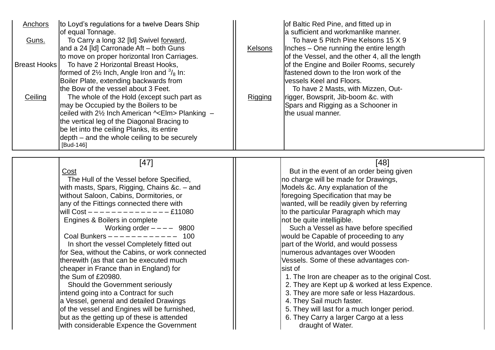| to Loyd's regulations for a twelve Dears Ship<br>Anchors<br>of equal Tonnage.<br>To Carry a long 32 [Id] Swivel forward,<br>Guns.<br>and a 24 [ld] Carronade Aft – both Guns<br>to move on proper horizontal Iron Carriages.<br>To have 2 Horizontal Breast Hooks,<br><b>Breast Hooks</b><br>formed of 2 <sup>1/2</sup> lnch, Angle Iron and $\frac{3}{8}$ ln:<br>Boiler Plate, extending backwards from<br>the Bow of the vessel about 3 Feet.<br>The whole of the Hold (except such part as<br>Ceiling<br>may be Occupied by the Boilers to be<br>ceiled with 2½ Inch American ^ <elm> Planking -<br/>the vertical leg of the Diagonal Bracing to<br/>be let into the ceiling Planks, its entire<br/>depth – and the whole ceiling to be securely<br/>[Bud-146]</elm>                     | of Baltic Red Pine, and fitted up in<br>a sufficient and workmanlike manner.<br>To have 5 Pitch Pine Kelsons 15 X 9<br>Inches – One running the entire length<br><b>Kelsons</b><br>of the Vessel, and the other 4, all the length<br>of the Engine and Boiler Rooms, securely<br>fastened down to the Iron work of the<br>vessels Keel and Floors.<br>To have 2 Masts, with Mizzen, Out-<br>rigger, Bowsprit, Jib-boom &c. with<br>Rigging<br>Spars and Rigging as a Schooner in<br>the usual manner.                                                                                                                                                                                                                                                                                                      |
|---------------------------------------------------------------------------------------------------------------------------------------------------------------------------------------------------------------------------------------------------------------------------------------------------------------------------------------------------------------------------------------------------------------------------------------------------------------------------------------------------------------------------------------------------------------------------------------------------------------------------------------------------------------------------------------------------------------------------------------------------------------------------------------------|------------------------------------------------------------------------------------------------------------------------------------------------------------------------------------------------------------------------------------------------------------------------------------------------------------------------------------------------------------------------------------------------------------------------------------------------------------------------------------------------------------------------------------------------------------------------------------------------------------------------------------------------------------------------------------------------------------------------------------------------------------------------------------------------------------|
| $[47]$<br>Cost<br>The Hull of the Vessel before Specified,<br>with masts, Spars, Rigging, Chains &c. – and<br>without Saloon, Cabins, Dormitories, or<br>any of the Fittings connected there with<br>$-£11080$<br>Engines & Boilers in complete<br>Working order $---$ 9800<br>Coal Bunkers $--------- - -$ 100<br>In short the vessel Completely fitted out<br>for Sea, without the Cabins, or work connected<br>therewith (as that can be executed much<br>cheaper in France than in England) for<br>the Sum of £20980.<br>Should the Government seriously<br>lintend going into a Contract for such<br>a Vessel, general and detailed Drawings<br>of the vessel and Engines will be furnished,<br>but as the getting up of these is attended<br>with considerable Expence the Government | $[48]$<br>But in the event of an order being given<br>no charge will be made for Drawings,<br>Models &c. Any explanation of the<br>foregoing Specification that may be<br>wanted, will be readily given by referring<br>to the particular Paragraph which may<br>not be quite intelligible.<br>Such a Vessel as have before specified<br>would be Capable of proceeding to any<br>part of the World, and would possess<br>numerous advantages over Wooden<br>Vessels. Some of these advantages con-<br>sist of<br>1. The Iron are cheaper as to the original Cost.<br>2. They are Kept up & worked at less Expence.<br>3. They are more safe or less Hazardous.<br>4. They Sail much faster.<br>5. They will last for a much longer period.<br>6. They Carry a larger Cargo at a less<br>draught of Water. |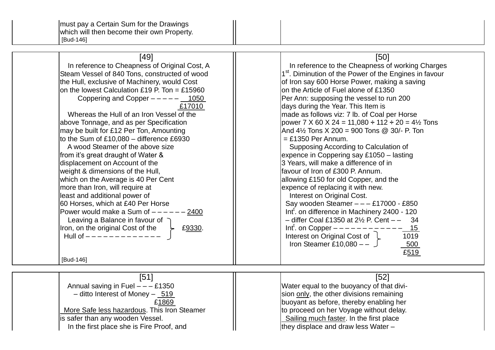| $[49]$                                        | [50]                                                               |
|-----------------------------------------------|--------------------------------------------------------------------|
| In reference to Cheapness of Original Cost, A | In reference to the Cheapness of working Charges                   |
| Steam Vessel of 840 Tons, constructed of wood | 1 <sup>st</sup> . Diminution of the Power of the Engines in favour |
| the Hull, exclusive of Machinery, would Cost  | of Iron say 600 Horse Power, making a saving                       |
| on the lowest Calculation £19 P. Ton = £15960 | on the Article of Fuel alone of £1350                              |
| Coppering and Copper $---$ - $---$ 1050       | Per Ann: supposing the vessel to run 200                           |
| £17010                                        | days during the Year. This Item is                                 |
| Whereas the Hull of an Iron Vessel of the     | made as follows viz: 7 lb. of Coal per Horse                       |
| above Tonnage, and as per Specification       | power 7 X 60 X 24 = 11,080 $\div$ 112 $\div$ 20 = 4½ Tons          |
| may be built for £12 Per Ton, Amounting       | And $4\frac{1}{2}$ Tons X 200 = 900 Tons @ 30/- P. Ton             |
| to the Sum of £10,080 - difference £6930      | $=$ £1350 Per Annum.                                               |
| A wood Steamer of the above size              | Supposing According to Calculation of                              |
| from it's great draught of Water &            | expence in Coppering say £1050 - lasting                           |
| displacement on Account of the                | 3 Years, will make a difference of in                              |
| weight & dimensions of the Hull,              | favour of Iron of £300 P. Annum.                                   |
| which on the Average is 40 Per Cent           | allowing £150 for old Copper, and the                              |
| more than Iron, will require at               | expence of replacing it with new.                                  |
| least and additional power of                 | Interest on Original Cost.                                         |
| 60 Horses, which at £40 Per Horse             | Say wooden Steamer $---E17000 - E850$                              |
| Power would make a Sum of $---$<br>$- - 2400$ | Int <sup>t</sup> . on difference in Machinery 2400 - 120           |
| Leaving a Balance in favour of $\bigcap$      | $-$ differ Coal £1350 at 2 $\frac{1}{2}$ P. Cent $-$ 34            |
| Iron, on the original Cost of the<br>£9330.   | Int <sup>t</sup> . on Copper $---$<br>$-15$                        |
|                                               | Interest on Original Cost of $\downarrow$<br>1019                  |
|                                               | Iron Steamer £10,080 $  \overline{\phantom{0}}$<br>500             |
|                                               | £519                                                               |
| [Bud-146]                                     |                                                                    |
| [51]                                          | $[52]$                                                             |
| 0.4050<br>Appual coving in Eugl.              | $M_{\rm tot}$ caught the buoyanay of that divi-                    |

Annual saving in Fuel – – £1350 **Noting that in the same of that divi-** Notation and Mater equal to the buoyancy of that divi-– ditto Interest of Money –  $\frac{519}{10}$   $\qquad$  sion only, the other divisions remaining £1869 **buoyant as before, thereby enabling her** buoyant as before, thereby enabling her More Safe less hazardous. This Iron Steamer [1] to proceed on her Voyage without delay.<br>
is safer than any wooden Vessel. This is all the first place Sailing much faster. In the first place<br>they displace and draw less Water -In the first place she is Fire Proof, and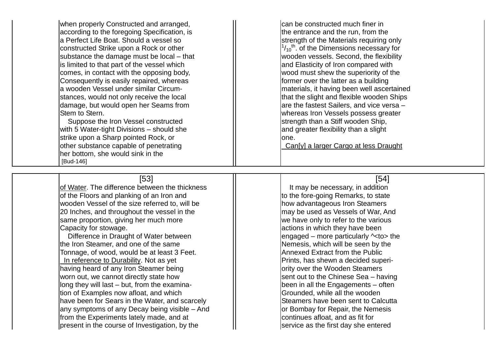when properly Constructed and arranged,  $\parallel$  can be constructed much finer in according to the foregoing Specification, is the entrance and the run, from the a Perfect Life Boat. Should a vessel so street of strength of the Materials requiring only constructed Strike upon a Rock or other substance the damage must be local – that  $\frac{1}{1}$  is limited to that part of the vessel which  $\frac{1}{1}$   $\frac{1}{1}$  and Elasticity of Iron compared with comes, in contact with the opposing body,  $\parallel$  wood must shew the superiority of the Consequently is easily repaired, whereas  $\|\cdot\|$  former over the latter as a building a wooden Vessel under similar Circum stances, would not only receive the local  $\parallel$   $\parallel$   $\parallel$   $\parallel$   $\parallel$   $\parallel$  that the slight and flexible wooden Ships damage, but would open her Seams from Stem to Stern.

with 5 Water -tight Divisions strike upon a Sharp pointed Rock, or  $\Box$ other substance capable of penetrating Can[y] a larger Cargo at less Draught her bottom, she would sink in the [Bud -146]

[ 53] of Water. The difference between the thickness  $\cdot$  It may be necessary, in addition of the Floors and planking of an Iron and wooden Vessel of the size referred to, will be how advantageous Iron Steamers  $|20|$  Inches, and throughout the vessel in the may be used as Vessels of War, And same proportion, giving her much more  $\|$   $\|$  we have only to refer to the various Capacity for stowage.  $\Box$   $\parallel$  actions in which they have been

Difference in Draught of Water between the Iron Steamer, and one of the same  $\parallel$  Nemesis, which will be seen by the Tonnage, of wood, would be at least 3 Feet.  $||$  Annexed Extract from the Public In reference to Durability. Not as yet having heard of any Iron Steamer being ority over the Wooden Steamers worn out, we cannot directly state how long they will last – but, from the examina  $\frac{1}{10}$  tion of Examples now afloat, and which  $\frac{1}{10}$   $\frac{1}{10}$  Grounded, while all the wooden have been for Sears in the Water, and scarcely Steamers have been sent to Calcutta any symptoms of any Decay being visible – And from the Experiments lately made, and at  $\|$  continues afloat, and as fit for  $|$  present in the course of Investigation, by the  $|$   $|$  service as the first day she entered

 $\frac{1}{10}$ <sup>th</sup>. of the Dimensions necessary for wooden vessels. Second, the flexibility materials, it having been well ascertained lare the fastest Sailers. and vice versa whereas Iron Vessels possess greater Suppose the Iron Vessel constructed Suppose the Iron Vessel constructed  $\parallel$  strength than a Stiff wooden Ship, and greater flexibility than a slight

## [ 54]

to the fore-going Remarks, to state  $|$ engaged – more particularly  $\sim$ to> the Prints, has shewn a decided superisent out to the Chinese Sea - having - The process in all the Engagements – often or Bombay for Repair, the Nemesis